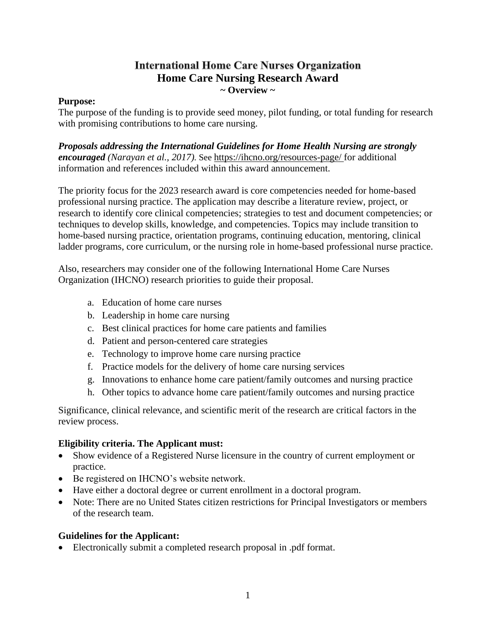## **International Home Care Nurses Organization Home Care Nursing Research Award ~ Overview ~**

### **Purpose:**

The purpose of the funding is to provide seed money, pilot funding, or total funding for research with promising contributions to home care nursing.

*Proposals addressing the International Guidelines for Home Health Nursing are strongly encouraged (Narayan et al., 2017).* See <https://ihcno.org/resources-page/> for additional information and references included within this award announcement.

The priority focus for the 2023 research award is core competencies needed for home-based professional nursing practice. The application may describe a literature review, project, or research to identify core clinical competencies; strategies to test and document competencies; or techniques to develop skills, knowledge, and competencies. Topics may include transition to home-based nursing practice, orientation programs, continuing education, mentoring, clinical ladder programs, core curriculum, or the nursing role in home-based professional nurse practice.

Also, researchers may consider one of the following International Home Care Nurses Organization (IHCNO) research priorities to guide their proposal.

- a. Education of home care nurses
- b. Leadership in home care nursing
- c. Best clinical practices for home care patients and families
- d. Patient and person-centered care strategies
- e. Technology to improve home care nursing practice
- f. Practice models for the delivery of home care nursing services
- g. Innovations to enhance home care patient/family outcomes and nursing practice
- h. Other topics to advance home care patient/family outcomes and nursing practice

Significance, clinical relevance, and scientific merit of the research are critical factors in the review process.

### **Eligibility criteria. The Applicant must:**

- Show evidence of a Registered Nurse licensure in the country of current employment or practice.
- Be registered on IHCNO's website network.
- Have either a doctoral degree or current enrollment in a doctoral program.
- Note: There are no United States citizen restrictions for Principal Investigators or members of the research team.

### **Guidelines for the Applicant:**

• Electronically submit a completed research proposal in .pdf format.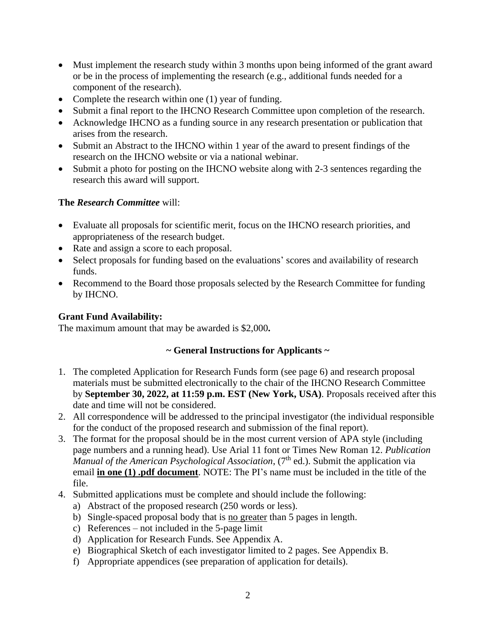- Must implement the research study within 3 months upon being informed of the grant award or be in the process of implementing the research (e.g., additional funds needed for a component of the research).
- Complete the research within one (1) year of funding.
- Submit a final report to the IHCNO Research Committee upon completion of the research.
- Acknowledge IHCNO as a funding source in any research presentation or publication that arises from the research.
- Submit an Abstract to the IHCNO within 1 year of the award to present findings of the research on the IHCNO website or via a national webinar.
- Submit a photo for posting on the IHCNO website along with 2-3 sentences regarding the research this award will support.

## **The** *Research Committee* will:

- Evaluate all proposals for scientific merit, focus on the IHCNO research priorities, and appropriateness of the research budget.
- Rate and assign a score to each proposal.
- Select proposals for funding based on the evaluations' scores and availability of research funds.
- Recommend to the Board those proposals selected by the Research Committee for funding by IHCNO.

## **Grant Fund Availability:**

The maximum amount that may be awarded is \$2,000**.**

# **~ General Instructions for Applicants ~**

- 1. The completed Application for Research Funds form (see page 6) and research proposal materials must be submitted electronically to the chair of the IHCNO Research Committee by **September 30, 2022, at 11:59 p.m. EST (New York, USA)**. Proposals received after this date and time will not be considered.
- 2. All correspondence will be addressed to the principal investigator (the individual responsible for the conduct of the proposed research and submission of the final report).
- 3. The format for the proposal should be in the most current version of APA style (including page numbers and a running head). Use Arial 11 font or Times New Roman 12. *Publication*  Manual of the American Psychological Association, (7<sup>th</sup> ed.). Submit the application via email **in one (1) .pdf document**. NOTE: The PI's name must be included in the title of the file.
- 4. Submitted applications must be complete and should include the following:
	- a) Abstract of the proposed research (250 words or less).
	- b) Single-spaced proposal body that is no greater than 5 pages in length.
	- c) References not included in the 5-page limit
	- d) Application for Research Funds. See Appendix A.
	- e) Biographical Sketch of each investigator limited to 2 pages. See Appendix B.
	- f) Appropriate appendices (see preparation of application for details).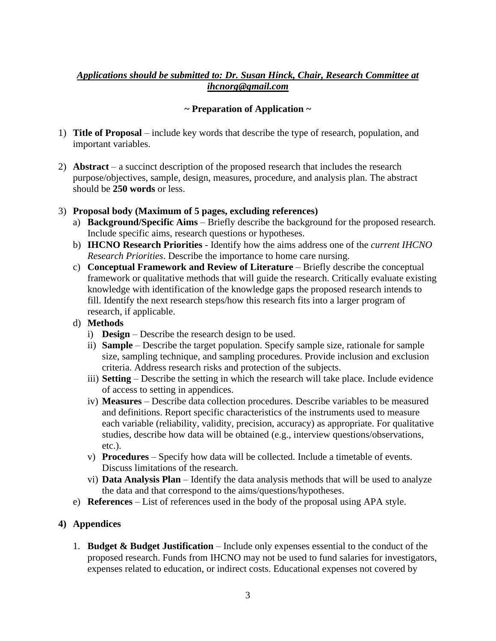## *Applications should be submitted to: Dr. Susan Hinck, Chair, Research Committee at ihcnorg@gmail.com*

## **~ Preparation of Application ~**

- 1) **Title of Proposal** include key words that describe the type of research, population, and important variables.
- 2) **Abstract** a succinct description of the proposed research that includes the research purpose/objectives, sample, design, measures, procedure, and analysis plan. The abstract should be **250 words** or less.

## 3) **Proposal body (Maximum of 5 pages, excluding references)**

- a) **Background/Specific Aims** Briefly describe the background for the proposed research. Include specific aims, research questions or hypotheses.
- b) **IHCNO Research Priorities** Identify how the aims address one of the *current IHCNO Research Priorities*. Describe the importance to home care nursing.
- c) **Conceptual Framework and Review of Literature**  Briefly describe the conceptual framework or qualitative methods that will guide the research. Critically evaluate existing knowledge with identification of the knowledge gaps the proposed research intends to fill. Identify the next research steps/how this research fits into a larger program of research, if applicable.
- d) **Methods** 
	- i) **Design** Describe the research design to be used.
	- ii) **Sample** Describe the target population. Specify sample size, rationale for sample size, sampling technique, and sampling procedures. Provide inclusion and exclusion criteria. Address research risks and protection of the subjects.
	- iii) **Setting** Describe the setting in which the research will take place. Include evidence of access to setting in appendices.
	- iv) **Measures** Describe data collection procedures. Describe variables to be measured and definitions. Report specific characteristics of the instruments used to measure each variable (reliability, validity, precision, accuracy) as appropriate. For qualitative studies, describe how data will be obtained (e.g., interview questions/observations, etc.).
	- v) **Procedures** Specify how data will be collected. Include a timetable of events. Discuss limitations of the research.
	- vi) **Data Analysis Plan** Identify the data analysis methods that will be used to analyze the data and that correspond to the aims/questions/hypotheses.
- e) **References** List of references used in the body of the proposal using APA style.

## **4) Appendices**

1. **Budget & Budget Justification** – Include only expenses essential to the conduct of the proposed research. Funds from IHCNO may not be used to fund salaries for investigators, expenses related to education, or indirect costs. Educational expenses not covered by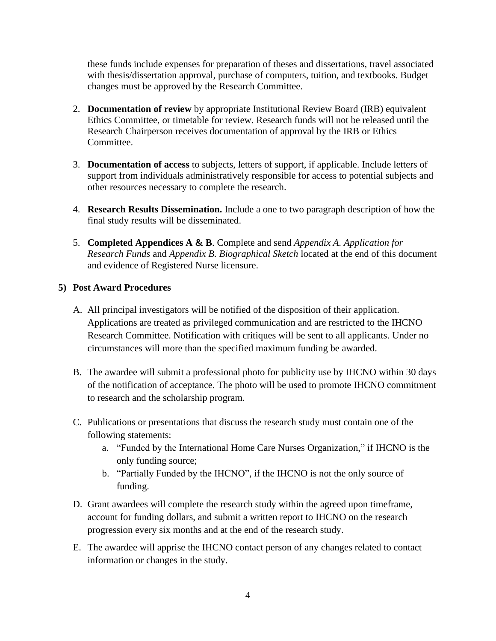these funds include expenses for preparation of theses and dissertations, travel associated with thesis/dissertation approval, purchase of computers, tuition, and textbooks. Budget changes must be approved by the Research Committee.

- 2. **Documentation of review** by appropriate Institutional Review Board (IRB) equivalent Ethics Committee, or timetable for review. Research funds will not be released until the Research Chairperson receives documentation of approval by the IRB or Ethics Committee.
- 3. **Documentation of access** to subjects, letters of support, if applicable. Include letters of support from individuals administratively responsible for access to potential subjects and other resources necessary to complete the research.
- 4. **Research Results Dissemination.** Include a one to two paragraph description of how the final study results will be disseminated.
- 5. **Completed Appendices A & B**. Complete and send *Appendix A. Application for Research Funds* and *Appendix B. Biographical Sketch* located at the end of this document and evidence of Registered Nurse licensure.

## **5) Post Award Procedures**

- A. All principal investigators will be notified of the disposition of their application. Applications are treated as privileged communication and are restricted to the IHCNO Research Committee. Notification with critiques will be sent to all applicants. Under no circumstances will more than the specified maximum funding be awarded.
- B. The awardee will submit a professional photo for publicity use by IHCNO within 30 days of the notification of acceptance. The photo will be used to promote IHCNO commitment to research and the scholarship program.
- C. Publications or presentations that discuss the research study must contain one of the following statements:
	- a. "Funded by the International Home Care Nurses Organization," if IHCNO is the only funding source;
	- b. "Partially Funded by the IHCNO", if the IHCNO is not the only source of funding.
- D. Grant awardees will complete the research study within the agreed upon timeframe, account for funding dollars, and submit a written report to IHCNO on the research progression every six months and at the end of the research study.
- E. The awardee will apprise the IHCNO contact person of any changes related to contact information or changes in the study.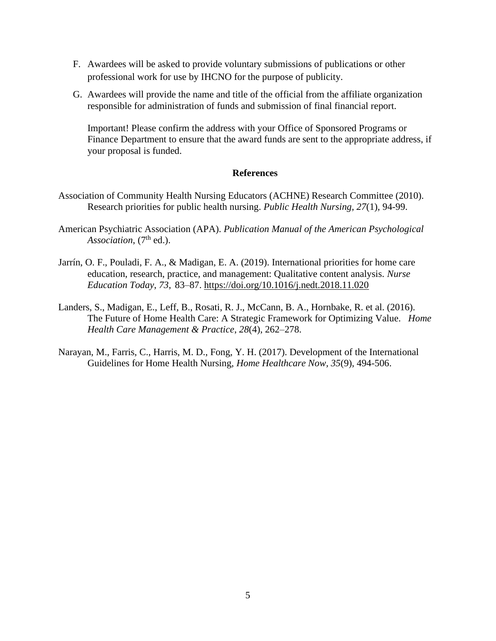- F. Awardees will be asked to provide voluntary submissions of publications or other professional work for use by IHCNO for the purpose of publicity.
- G. Awardees will provide the name and title of the official from the affiliate organization responsible for administration of funds and submission of final financial report.

Important! Please confirm the address with your Office of Sponsored Programs or Finance Department to ensure that the award funds are sent to the appropriate address, if your proposal is funded.

#### **References**

- Association of Community Health Nursing Educators (ACHNE) Research Committee (2010). Research priorities for public health nursing. *Public Health Nursing, 27*(1), 94-99.
- American Psychiatric Association (APA). *Publication Manual of the American Psychological*  Association, (7<sup>th</sup> ed.).
- Jarrín, O. F., Pouladi, F. A., & Madigan, E. A. (2019). International priorities for home care education, research, practice, and management: Qualitative content analysis. *Nurse Education Today*, *73*, 83–87.<https://doi.org/10.1016/j.nedt.2018.11.020>
- Landers, S., Madigan, E., Leff, B., Rosati, R. J., McCann, B. A., Hornbake, R. et al. (2016). The Future of Home Health Care: A Strategic Framework for Optimizing Value. *Home Health Care Management & Practice*, *28*(4), 262–278.
- Narayan, M., Farris, C., Harris, M. D., Fong, Y. H. (2017). Development of the International Guidelines for Home Health Nursing, *Home Healthcare Now, 35*(9), 494-506.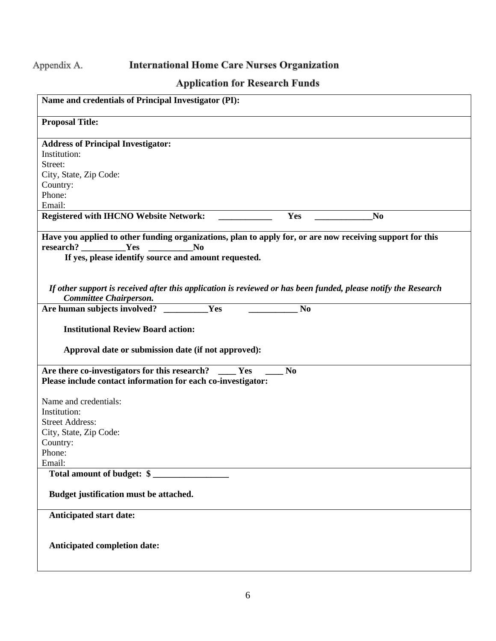# Appendix A.

# **International Home Care Nurses Organization**

# **Application for Research Funds**

| Name and credentials of Principal Investigator (PI):                                                           |                |                |
|----------------------------------------------------------------------------------------------------------------|----------------|----------------|
| <b>Proposal Title:</b>                                                                                         |                |                |
| <b>Address of Principal Investigator:</b>                                                                      |                |                |
| Institution:                                                                                                   |                |                |
| Street:                                                                                                        |                |                |
| City, State, Zip Code:                                                                                         |                |                |
| Country:                                                                                                       |                |                |
| Phone:                                                                                                         |                |                |
| Email:                                                                                                         |                |                |
| <b>Registered with IHCNO Website Network:</b>                                                                  | Yes            | N <sub>0</sub> |
| Have you applied to other funding organizations, plan to apply for, or are now receiving support for this      |                |                |
| research? Yes<br>N <sub>0</sub>                                                                                |                |                |
| If yes, please identify source and amount requested.                                                           |                |                |
|                                                                                                                |                |                |
| If other support is received after this application is reviewed or has been funded, please notify the Research |                |                |
| Committee Chairperson.                                                                                         |                |                |
| Yes<br>Are human subjects involved?                                                                            | N <sub>0</sub> |                |
|                                                                                                                |                |                |
| <b>Institutional Review Board action:</b>                                                                      |                |                |
|                                                                                                                |                |                |
| Approval date or submission date (if not approved):                                                            |                |                |
|                                                                                                                |                |                |
| Are there co-investigators for this research?<br>Yes                                                           | N <sub>0</sub> |                |
| Please include contact information for each co-investigator:                                                   |                |                |
| Name and credentials:                                                                                          |                |                |
| Institution:                                                                                                   |                |                |
| <b>Street Address:</b>                                                                                         |                |                |
| City, State, Zip Code:                                                                                         |                |                |
| Country:                                                                                                       |                |                |
| Phone:                                                                                                         |                |                |
| Email:                                                                                                         |                |                |
| Total amount of budget: \$                                                                                     |                |                |
|                                                                                                                |                |                |
| Budget justification must be attached.                                                                         |                |                |
| <b>Anticipated start date:</b>                                                                                 |                |                |
|                                                                                                                |                |                |
|                                                                                                                |                |                |
| Anticipated completion date:                                                                                   |                |                |
|                                                                                                                |                |                |